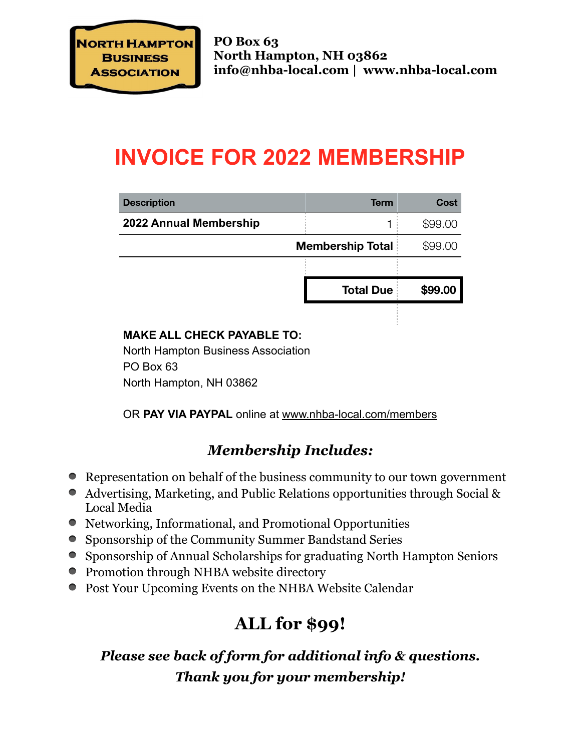# **INVOICE FOR 2022 MEMBERSHIP**

| <b>Description</b>                | <b>Term</b>      | Cost    |
|-----------------------------------|------------------|---------|
| 2022 Annual Membership            |                  | \$99.00 |
| <b>Membership Total</b>           |                  | \$99.00 |
|                                   |                  |         |
|                                   | <b>Total Due</b> | \$99.00 |
|                                   |                  |         |
| <b>MAKE ALL CHECK PAYABLE TO:</b> |                  |         |

North Hampton Business Association PO Box 63 North Hampton, NH 03862

OR **PAY VIA PAYPAL** online at [www.nhba-local.com/](http://www.nhba-local.com)members

## *Membership Includes:*

- Representation on behalf of the business community to our town government
- Advertising, Marketing, and Public Relations opportunities through Social & Local Media
- Networking, Informational, and Promotional Opportunities
- Sponsorship of the Community Summer Bandstand Series
- Sponsorship of Annual Scholarships for graduating North Hampton Seniors
- Promotion through NHBA website directory
- Post Your Upcoming Events on the NHBA Website Calendar

## **ALL for \$99!**

## *Please see back of form for additional info & questions. Thank you for your membership!*